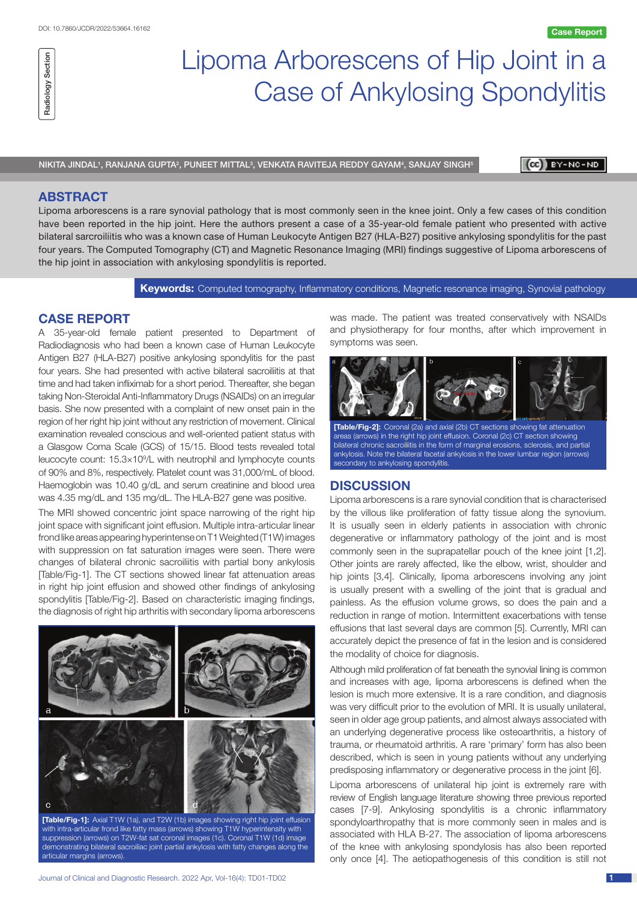## Section Radiology Section Radiology

# Lipoma Arborescens of Hip Joint in a Case of Ankylosing Spondylitis

NIKITA JINDAL', RANJANA GUPTA<sup>2</sup>, PUNEET MITTAL<sup>3</sup>, VENKATA RAVITEJA REDDY GAYAM<sup>4</sup>, SANJAY SINGH<sup>5</sup>

(CC) BY-NC-ND

### **ABSTRACT**

Lipoma arborescens is a rare synovial pathology that is most commonly seen in the knee joint. Only a few cases of this condition have been reported in the hip joint. Here the authors present a case of a 35-year-old female patient who presented with active bilateral sarcroiliitis who was a known case of Human Leukocyte Antigen B27 (HLA-B27) positive ankylosing spondylitis for the past four years. The Computed Tomography (CT) and Magnetic Resonance Imaging (MRI) findings suggestive of Lipoma arborescens of the hip joint in association with ankylosing spondylitis is reported.

**Keywords:** Computed tomography, Inflammatory conditions, Magnetic resonance imaging, Synovial pathology

symptoms was seen.

### **CASE REPORT**

A 35-year-old female patient presented to Department of Radiodiagnosis who had been a known case of Human Leukocyte Antigen B27 (HLA-B27) positive ankylosing spondylitis for the past four years. She had presented with active bilateral sacroiliitis at that time and had taken infliximab for a short period. Thereafter, she began taking Non-Steroidal Anti-Inflammatory Drugs (NSAIDs) on an irregular basis. She now presented with a complaint of new onset pain in the region of her right hip joint without any restriction of movement. Clinical examination revealed conscious and well-oriented patient status with a Glasgow Coma Scale (GCS) of 15/15. Blood tests revealed total leucocyte count: 15.3×109 /L with neutrophil and lymphocyte counts of 90% and 8%, respectively. Platelet count was 31,000/mL of blood. Haemoglobin was 10.40 g/dL and serum creatinine and blood urea was 4.35 mg/dL and 135 mg/dL. The HLA-B27 gene was positive.

The MRI showed concentric joint space narrowing of the right hip joint space with significant joint effusion. Multiple intra-articular linear frond like areas appearing hyperintense on T1 Weighted (T1W) images with suppression on fat saturation images were seen. There were changes of bilateral chronic sacroiliitis with partial bony ankylosis [Table/Fig-1]. The CT sections showed linear fat attenuation areas in right hip joint effusion and showed other findings of ankylosing spondylitis [Table/Fig-2]. Based on characteristic imaging findings, the diagnosis of right hip arthritis with secondary lipoma arborescens



**[Table/Fig-1]:** Axial T1W (1a), and T2W (1b) images showing right hip joint effusion with intra-articular frond like fatty mass (arrows) showing T1W hyperintensity with suppression (arrows) on T2W-fat sat coronal images (1c). Coronal T1W (1d) image demonstrating bilateral sacroiliac joint partial ankylosis with fatty changes along the articular margins (arrows).

**[Table/Fig-2]:** Coronal (2a) and axial (2b) CT sections showing fat attenuation areas (arrows) in the right hip joint effusion. Coronal (2c) CT section showing bilateral chronic sacroiliitis in the form of marginal erosions, sclerosis, and partial ankylosis. Note the bilateral facetal ankylosis in the lower lumbar region (arrows)

#### **DISCUSSION**

secondary to ankylosing spondylitis.

Lipoma arborescens is a rare synovial condition that is characterised by the villous like proliferation of fatty tissue along the synovium. It is usually seen in elderly patients in association with chronic degenerative or inflammatory pathology of the joint and is most commonly seen in the suprapatellar pouch of the knee joint [1,2]. Other joints are rarely affected, like the elbow, wrist, shoulder and hip joints [3,4]. Clinically, lipoma arborescens involving any joint is usually present with a swelling of the joint that is gradual and painless. As the effusion volume grows, so does the pain and a reduction in range of motion. Intermittent exacerbations with tense effusions that last several days are common [5]. Currently, MRI can accurately depict the presence of fat in the lesion and is considered the modality of choice for diagnosis.

was made. The patient was treated conservatively with NSAIDs and physiotherapy for four months, after which improvement in

Although mild proliferation of fat beneath the synovial lining is common and increases with age, lipoma arborescens is defined when the lesion is much more extensive. It is a rare condition, and diagnosis was very difficult prior to the evolution of MRI. It is usually unilateral, seen in older age group patients, and almost always associated with an underlying degenerative process like osteoarthritis, a history of trauma, or rheumatoid arthritis. A rare 'primary' form has also been described, which is seen in young patients without any underlying predisposing inflammatory or degenerative process in the joint [6].

Lipoma arborescens of unilateral hip joint is extremely rare with review of English language literature showing three previous reported cases [7-9]. Ankylosing spondylitis is a chronic inflammatory spondyloarthropathy that is more commonly seen in males and is associated with HLA B-27. The association of lipoma arborescens of the knee with ankylosing spondylosis has also been reported only once [4]. The aetiopathogenesis of this condition is still not